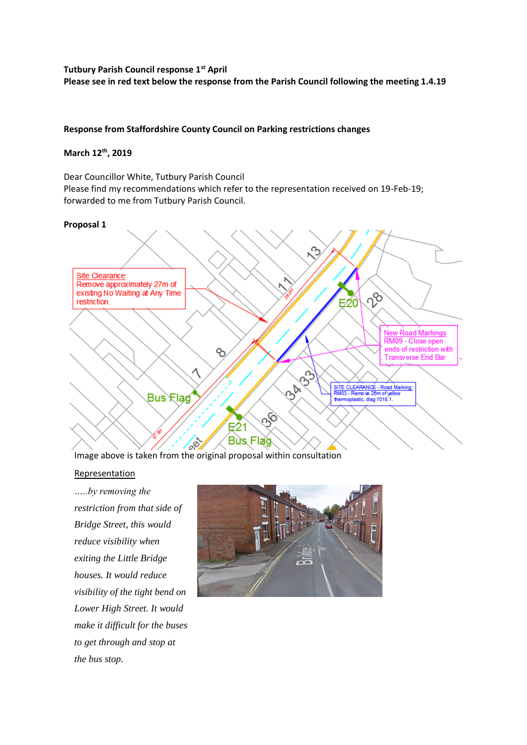### **Tutbury Parish Council response 1st April Please see in red text below the response from the Parish Council following the meeting 1.4.19**

#### **Response from Staffordshire County Council on Parking restrictions changes**

### **March 12th, 2019**

Dear Councillor White, Tutbury Parish Council Please find my recommendations which refer to the representation received on 19-Feb-19; forwarded to me from Tutbury Parish Council.

#### **Proposal 1**



Image above is taken from the original proposal within consultation

#### Representation

*…..by removing the restriction from that side of Bridge Street, this would reduce visibility when exiting the Little Bridge houses. It would reduce visibility of the tight bend on Lower High Street. It would make it difficult for the buses to get through and stop at the bus stop.*

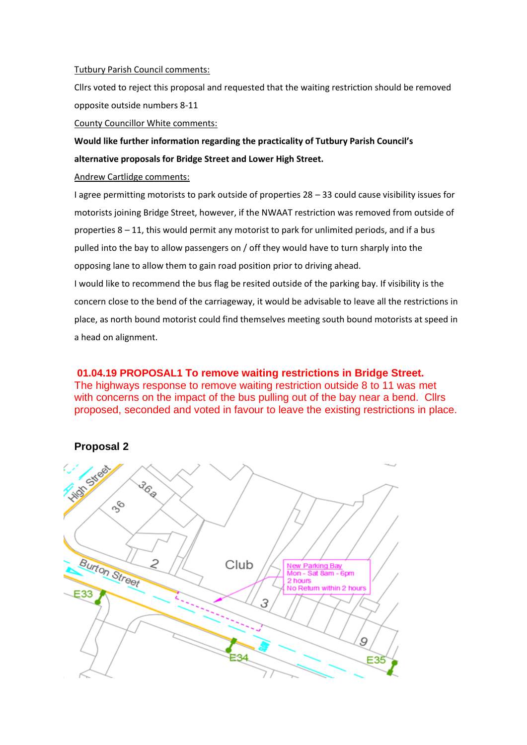#### Tutbury Parish Council comments:

Cllrs voted to reject this proposal and requested that the waiting restriction should be removed opposite outside numbers 8-11

#### County Councillor White comments:

**Would like further information regarding the practicality of Tutbury Parish Council's alternative proposals for Bridge Street and Lower High Street.**

#### Andrew Cartlidge comments:

I agree permitting motorists to park outside of properties 28 – 33 could cause visibility issues for motorists joining Bridge Street, however, if the NWAAT restriction was removed from outside of properties 8 – 11, this would permit any motorist to park for unlimited periods, and if a bus pulled into the bay to allow passengers on / off they would have to turn sharply into the opposing lane to allow them to gain road position prior to driving ahead. I would like to recommend the bus flag be resited outside of the parking bay. If visibility is the concern close to the bend of the carriageway, it would be advisable to leave all the restrictions in place, as north bound motorist could find themselves meeting south bound motorists at speed in

a head on alignment.

**01.04.19 PROPOSAL1 To remove waiting restrictions in Bridge Street.** The highways response to remove waiting restriction outside 8 to 11 was met with concerns on the impact of the bus pulling out of the bay near a bend. Cllrs proposed, seconded and voted in favour to leave the existing restrictions in place.



# **Proposal 2**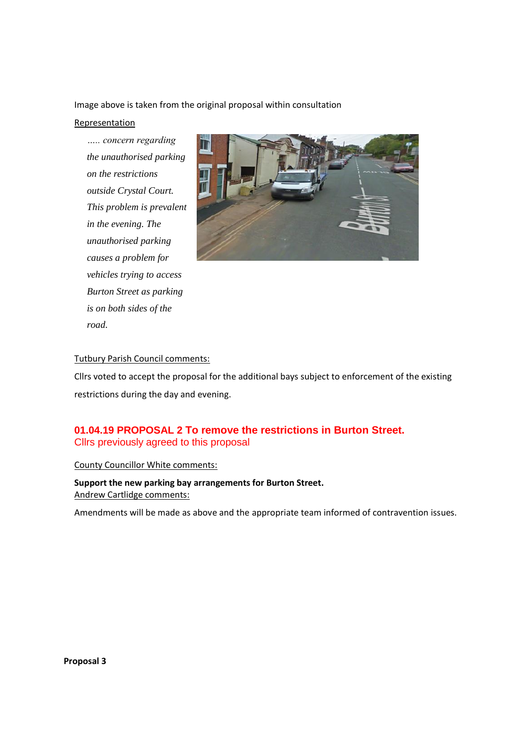Image above is taken from the original proposal within consultation

#### Representation

*….. concern regarding the unauthorised parking on the restrictions outside Crystal Court. This problem is prevalent in the evening. The unauthorised parking causes a problem for vehicles trying to access Burton Street as parking is on both sides of the road.*



### Tutbury Parish Council comments:

Cllrs voted to accept the proposal for the additional bays subject to enforcement of the existing restrictions during the day and evening.

# **01.04.19 PROPOSAL 2 To remove the restrictions in Burton Street.** Cllrs previously agreed to this proposal

#### County Councillor White comments:

**Support the new parking bay arrangements for Burton Street.** Andrew Cartlidge comments:

Amendments will be made as above and the appropriate team informed of contravention issues.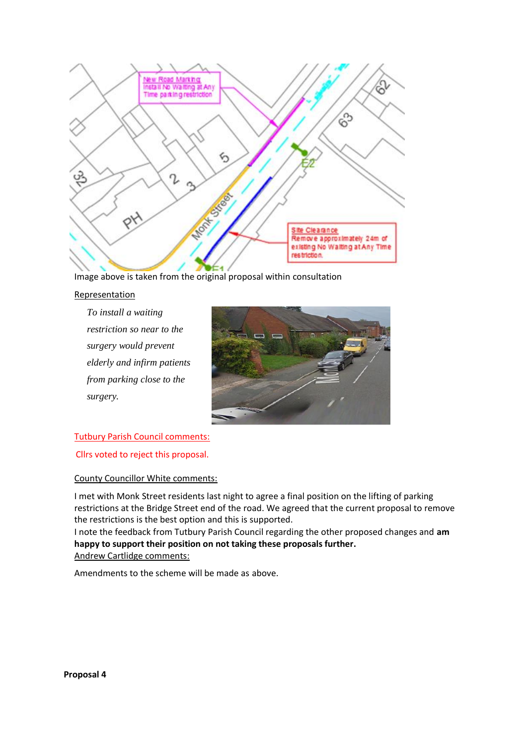

Image above is taken from the original proposal within consultation

### Representation

*To install a waiting restriction so near to the surgery would prevent elderly and infirm patients from parking close to the surgery.*



### Tutbury Parish Council comments:

Cllrs voted to reject this proposal.

### County Councillor White comments:

I met with Monk Street residents last night to agree a final position on the lifting of parking restrictions at the Bridge Street end of the road. We agreed that the current proposal to remove the restrictions is the best option and this is supported.

I note the feedback from Tutbury Parish Council regarding the other proposed changes and **am happy to support their position on not taking these proposals further.** Andrew Cartlidge comments:

Amendments to the scheme will be made as above.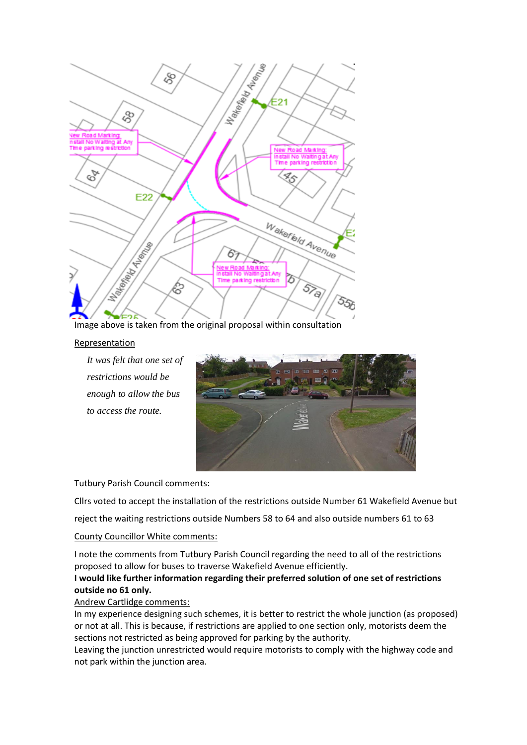

Image above is taken from the original proposal within consultation

#### **Representation**

*It was felt that one set of restrictions would be enough to allow the bus to access the route.*



Tutbury Parish Council comments:

Cllrs voted to accept the installation of the restrictions outside Number 61 Wakefield Avenue but

reject the waiting restrictions outside Numbers 58 to 64 and also outside numbers 61 to 63

### County Councillor White comments:

I note the comments from Tutbury Parish Council regarding the need to all of the restrictions proposed to allow for buses to traverse Wakefield Avenue efficiently.

### **I would like further information regarding their preferred solution of one set of restrictions outside no 61 only.**

#### Andrew Cartlidge comments:

In my experience designing such schemes, it is better to restrict the whole junction (as proposed) or not at all. This is because, if restrictions are applied to one section only, motorists deem the sections not restricted as being approved for parking by the authority.

Leaving the junction unrestricted would require motorists to comply with the highway code and not park within the junction area.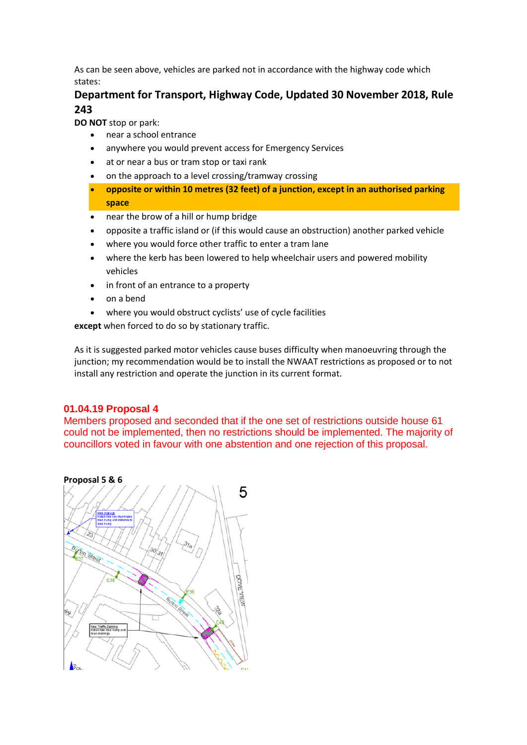As can be seen above, vehicles are parked not in accordance with the highway code which states:

# **Department for Transport, Highway Code, Updated 30 November 2018, Rule 243**

**DO NOT** stop or park:

- near a school entrance
- anywhere you would prevent access for Emergency Services
- at or near a bus or tram stop or taxi rank
- on the approach to a level crossing/tramway crossing
- **opposite or within 10 metres (32 feet) of a junction, except in an authorised parking space**
- near the brow of a hill or hump bridge
- opposite a traffic island or (if this would cause an obstruction) another parked vehicle
- where you would force other traffic to enter a tram lane
- where the kerb has been lowered to help wheelchair users and powered mobility vehicles
- in front of an entrance to a property
- on a bend
- where you would obstruct cyclists' use of cycle facilities

**except** when forced to do so by stationary traffic.

As it is suggested parked motor vehicles cause buses difficulty when manoeuvring through the junction; my recommendation would be to install the NWAAT restrictions as proposed or to not install any restriction and operate the junction in its current format.

### **01.04.19 Proposal 4**

Members proposed and seconded that if the one set of restrictions outside house 61 could not be implemented, then no restrictions should be implemented. The majority of councillors voted in favour with one abstention and one rejection of this proposal.

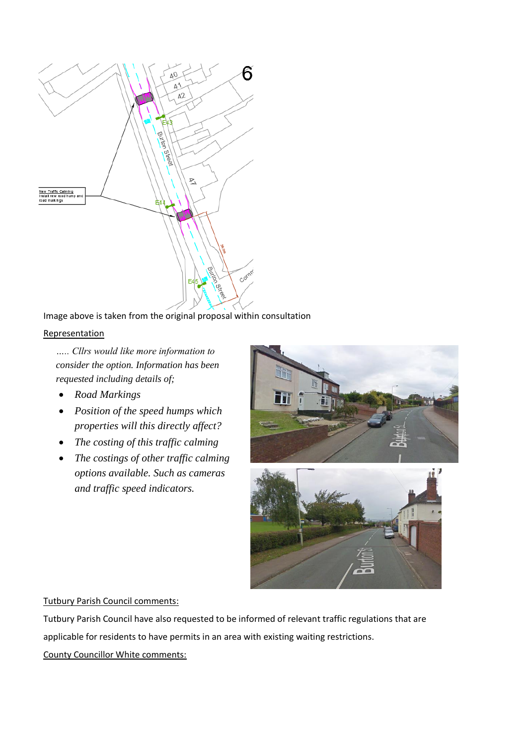

## Image above is taken from the original proposal within consultation

#### **Representation**

*….. Cllrs would like more information to consider the option. Information has been requested including details of;*

- *Road Markings*
- *Position of the speed humps which properties will this directly affect?*
- *The costing of this traffic calming*
- *The costings of other traffic calming options available. Such as cameras and traffic speed indicators.*



#### Tutbury Parish Council comments:

Tutbury Parish Council have also requested to be informed of relevant traffic regulations that are applicable for residents to have permits in an area with existing waiting restrictions.

### County Councillor White comments: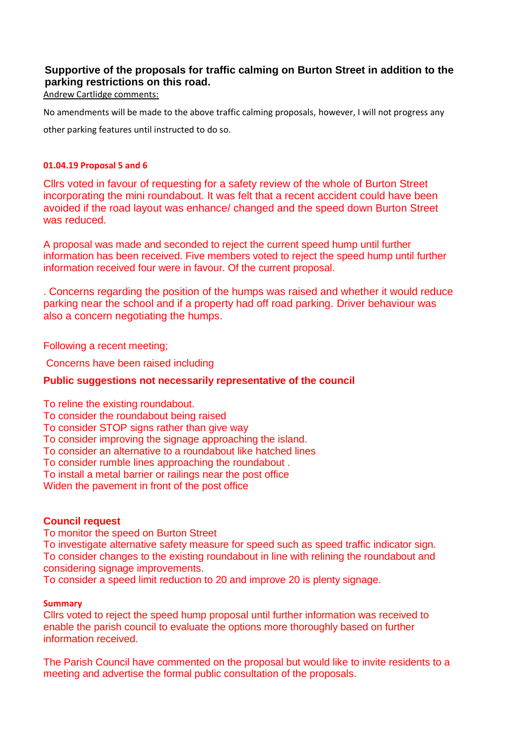# **Supportive of the proposals for traffic calming on Burton Street in addition to the parking restrictions on this road.**

Andrew Cartlidge comments:

No amendments will be made to the above traffic calming proposals, however, I will not progress any other parking features until instructed to do so.

### **01.04.19 Proposal 5 and 6**

Cllrs voted in favour of requesting for a safety review of the whole of Burton Street incorporating the mini roundabout. It was felt that a recent accident could have been avoided if the road layout was enhance/ changed and the speed down Burton Street was reduced.

A proposal was made and seconded to reject the current speed hump until further information has been received. Five members voted to reject the speed hump until further information received four were in favour. Of the current proposal.

. Concerns regarding the position of the humps was raised and whether it would reduce parking near the school and if a property had off road parking. Driver behaviour was also a concern negotiating the humps.

Following a recent meeting;

Concerns have been raised including

# **Public suggestions not necessarily representative of the council**

To reline the existing roundabout.

To consider the roundabout being raised

To consider STOP signs rather than give way

To consider improving the signage approaching the island.

To consider an alternative to a roundabout like hatched lines

To consider rumble lines approaching the roundabout .

To install a metal barrier or railings near the post office

Widen the pavement in front of the post office

# **Council request**

To monitor the speed on Burton Street

To investigate alternative safety measure for speed such as speed traffic indicator sign. To consider changes to the existing roundabout in line with relining the roundabout and considering signage improvements.

To consider a speed limit reduction to 20 and improve 20 is plenty signage.

### **Summary**

Cllrs voted to reject the speed hump proposal until further information was received to enable the parish council to evaluate the options more thoroughly based on further information received.

The Parish Council have commented on the proposal but would like to invite residents to a meeting and advertise the formal public consultation of the proposals.